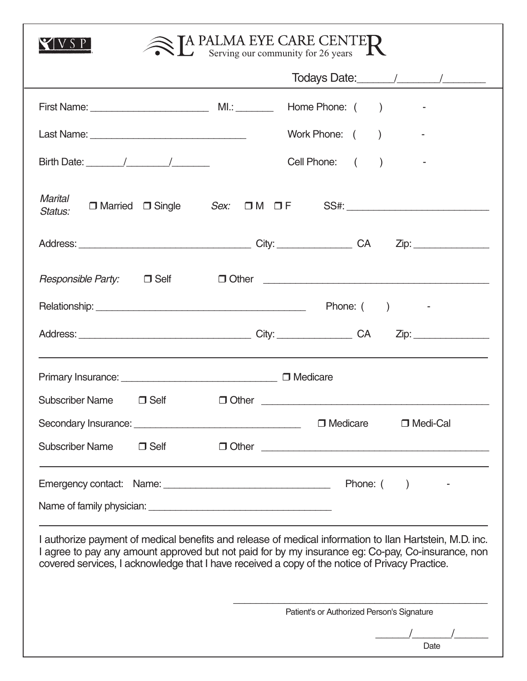| $\mathbb{R}$ PALMA EYE CARE CENTER                                                                                                                                                                                                                                                                                |                                            |  |  |  |  |  |
|-------------------------------------------------------------------------------------------------------------------------------------------------------------------------------------------------------------------------------------------------------------------------------------------------------------------|--------------------------------------------|--|--|--|--|--|
|                                                                                                                                                                                                                                                                                                                   |                                            |  |  |  |  |  |
|                                                                                                                                                                                                                                                                                                                   | Home Phone: ()<br><b>Contract Contract</b> |  |  |  |  |  |
|                                                                                                                                                                                                                                                                                                                   | Work Phone: ()                             |  |  |  |  |  |
| Birth Date: $\frac{1}{2}$ $\frac{1}{2}$ $\frac{1}{2}$ $\frac{1}{2}$ $\frac{1}{2}$ $\frac{1}{2}$ $\frac{1}{2}$ $\frac{1}{2}$ $\frac{1}{2}$ $\frac{1}{2}$ $\frac{1}{2}$ $\frac{1}{2}$ $\frac{1}{2}$ $\frac{1}{2}$ $\frac{1}{2}$ $\frac{1}{2}$ $\frac{1}{2}$ $\frac{1}{2}$ $\frac{1}{2}$ $\frac{1}{2}$ $\frac{1}{2}$ | Cell Phone: ()                             |  |  |  |  |  |
| <b>Marital</b><br>Status:                                                                                                                                                                                                                                                                                         |                                            |  |  |  |  |  |
|                                                                                                                                                                                                                                                                                                                   |                                            |  |  |  |  |  |
| <i>Responsible Party:</i> □ Self                                                                                                                                                                                                                                                                                  |                                            |  |  |  |  |  |
|                                                                                                                                                                                                                                                                                                                   |                                            |  |  |  |  |  |
|                                                                                                                                                                                                                                                                                                                   |                                            |  |  |  |  |  |
|                                                                                                                                                                                                                                                                                                                   |                                            |  |  |  |  |  |
| Subscriber Name J Self                                                                                                                                                                                                                                                                                            | $\Box$ Other $\Box$                        |  |  |  |  |  |
|                                                                                                                                                                                                                                                                                                                   | $\Box$ Medicare<br>□ Medi-Cal              |  |  |  |  |  |
| <b>Subscriber Name</b><br>$\Box$ Self                                                                                                                                                                                                                                                                             |                                            |  |  |  |  |  |
|                                                                                                                                                                                                                                                                                                                   | Phone: $($ )                               |  |  |  |  |  |
|                                                                                                                                                                                                                                                                                                                   |                                            |  |  |  |  |  |
| I authorize payment of medical benefits and release of medical information to Ilan Hartstein, M.D. inc.<br>I agree to pay any amount approved but not paid for by my insurance eg: Co-pay, Co-insurance, non<br>covered services, I acknowledge that I have received a copy of the notice of Privacy Practice.    |                                            |  |  |  |  |  |
| Patient's or Authorized Person's Signature                                                                                                                                                                                                                                                                        |                                            |  |  |  |  |  |
|                                                                                                                                                                                                                                                                                                                   | Date                                       |  |  |  |  |  |